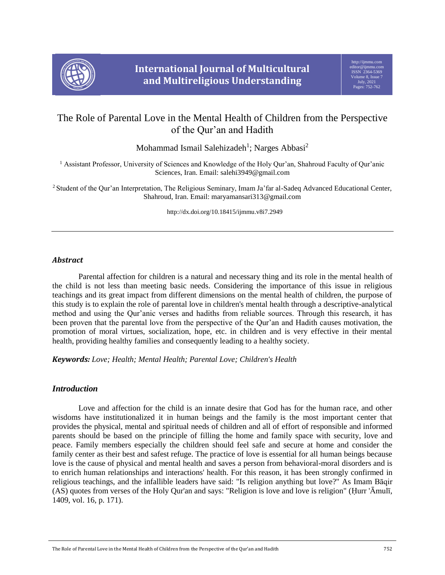

# The Role of Parental Love in the Mental Health of Children from the Perspective of the Qur'an and Hadith

Mohammad Ismail Salehizadeh<sup>1</sup>; Narges Abbasi<sup>2</sup>

<sup>1</sup> Assistant Professor, University of Sciences and Knowledge of the Holy Qur'an, Shahroud Faculty of Qur'anic Sciences, Iran. Email: salehi3949@gmail.com

<sup>2</sup>Student of the Qur'an Interpretation, The Religious Seminary, Imam Ja'far al-Sadeq Advanced Educational Center, Shahroud, Iran. Email: maryamansari313@gmail.com

http://dx.doi.org/10.18415/ijmmu.v8i7.2949

## *Abstract*

Parental affection for children is a natural and necessary thing and its role in the mental health of the child is not less than meeting basic needs. Considering the importance of this issue in religious teachings and its great impact from different dimensions on the mental health of children, the purpose of this study is to explain the role of parental love in children's mental health through a descriptive-analytical method and using the Qur'anic verses and hadiths from reliable sources. Through this research, it has been proven that the parental love from the perspective of the Qur'an and Hadith causes motivation, the promotion of moral virtues, socialization, hope, etc. in children and is very effective in their mental health, providing healthy families and consequently leading to a healthy society.

*Keywords: Love; Health; Mental Health; Parental Love; Children's Health*

## *Introduction*

Love and affection for the child is an innate desire that God has for the human race, and other wisdoms have institutionalized it in human beings and the family is the most important center that provides the physical, mental and spiritual needs of children and all of effort of responsible and informed parents should be based on the principle of filling the home and family space with security, love and peace. Family members especially the children should feel safe and secure at home and consider the family center as their best and safest refuge. The practice of love is essential for all human beings because love is the cause of physical and mental health and saves a person from behavioral-moral disorders and is to enrich human relationships and interactions' health. For this reason, it has been strongly confirmed in religious teachings, and the infallible leaders have said: "Is religion anything but love?" As Imam Bāqir (AS) quotes from verses of the Holy Qur'an and says: "Religion is love and love is religion" (Ḥurr 'Āmulī, 1409, vol. 16, p. 171).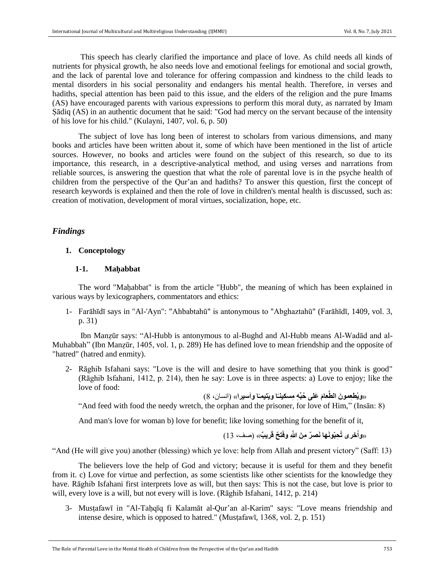This speech has clearly clarified the importance and place of love. As child needs all kinds of nutrients for physical growth, he also needs love and emotional feelings for emotional and social growth, and the lack of parental love and tolerance for offering compassion and kindness to the child leads to mental disorders in his social personality and endangers his mental health. Therefore, in verses and hadiths, special attention has been paid to this issue, and the elders of the religion and the pure Imams (AS) have encouraged parents with various expressions to perform this moral duty, as narrated by Imam Ṣādiq (AS) in an authentic document that he said: "God had mercy on the servant because of the intensity of his love for his child." (Kulayni, 1407, vol. 6, p. 50)

The subject of love has long been of interest to scholars from various dimensions, and many books and articles have been written about it, some of which have been mentioned in the list of article sources. However, no books and articles were found on the subject of this research, so due to its importance, this research, in a descriptive-analytical method, and using verses and narrations from reliable sources, is answering the question that what the role of parental love is in the psyche health of children from the perspective of the Qur'an and hadiths? To answer this question, first the concept of research keywords is explained and then the role of love in children's mental health is discussed, such as: creation of motivation, development of moral virtues, socialization, hope, etc.

## *Findings*

## **1. Conceptology**

#### **1-1. Maḥabbat**

The word "Maḥabbat" is from the article "Ḥubb", the meaning of which has been explained in various ways by lexicographers, commentators and ethics:

1- Farāhīdī says in "Al-'Ayn": "Ahbabtahū" is antonymous to "Abghaztahū" (Farāhīdī, 1409, vol. 3, p. 31)

Ibn Manẓūr says: "Al-Hubb is antonymous to al-Bughd and Al-Hubb means Al-Wadād and al-Muhabbah" (Ibn Manzūr, 1405, vol. 1, p. 289) He has defined love to mean friendship and the opposite of "hatred" (hatred and enmity).

2- Rāghib Isfahani says: "Love is the will and desire to have something that you think is good" (Rāghib Isfahani, 1412, p. 214), then he say: Love is in three aspects: a) Love to enjoy; like the love of food:

**ا واَسيرا**« )انسان، 8( **ً ا ويَتيمـ ً َم َعلى ُحبِّ ِه ِمسكينـ** »**ويُطِعمو َن الطَّعا**

"And feed with food the needy wretch, the orphan and the prisoner, for love of Him," (Insān: 8)

And man's love for woman b) love for benefit; like loving something for the benefit of it,

**ت ٌح قَري ٌب**« )صف، 13( **ِحبّونَها نَصٌر ِم َن ّّللاِ وفَ** »**واُخرى تُ**

"And (He will give you) another (blessing) which ye love: help from Allah and present victory" (Saff: 13)

The believers love the help of God and victory; because it is useful for them and they benefit from it. c) Love for virtue and perfection, as some scientists like other scientists for the knowledge they have. Rāghib Isfahani first interprets love as will, but then says: This is not the case, but love is prior to will, every love is a will, but not every will is love. (Rāghib Isfahani, 1412, p. 214)

3- Musṭafawī in "Al-Taḥqīq fi Kalamāt al-Qur'an al-Karim" says: "Love means friendship and intense desire, which is opposed to hatred." (Musṭafawī, 1368, vol. 2, p. 151)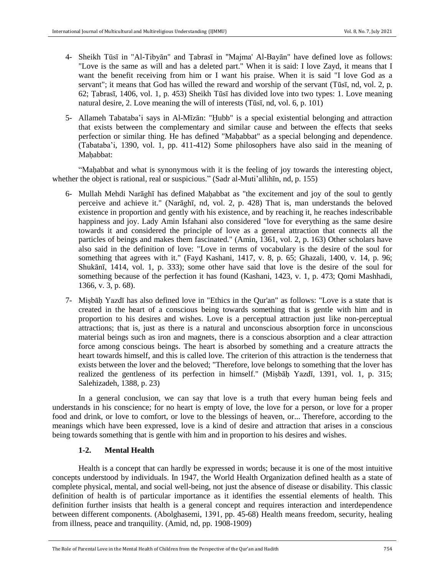- 4- Sheikh Tūsī in "Al-Tibyān" and Ṭabrasī in "Majma' Al-Bayān" have defined love as follows: "Love is the same as will and has a deleted part." When it is said: I love Zayd, it means that I want the benefit receiving from him or I want his praise. When it is said "I love God as a servant"; it means that God has willed the reward and worship of the servant (Tūsī, nd, vol. 2, p. 62; Ṭabrasī, 1406, vol. 1, p. 453) Sheikh Tūsī has divided love into two types: 1. Love meaning natural desire, 2. Love meaning the will of interests (Tūsī, nd, vol. 6, p. 101)
- 5- Allameh Tabataba'i says in Al-Mīzān: "Ḥubb" is a special existential belonging and attraction that exists between the complementary and similar cause and between the effects that seeks perfection or similar thing. He has defined "Maḥabbat" as a special belonging and dependence. (Tabataba'i, 1390, vol. 1, pp. 411-412) Some philosophers have also said in the meaning of Mahabbat:

"Mahabbat and what is synonymous with it is the feeling of joy towards the interesting object, whether the object is rational, real or suspicious." (Sadr al-Muti'allihin, nd, p. 155)

- 6- Mullah Mehdi Narāghī has defined Maḥabbat as "the excitement and joy of the soul to gently perceive and achieve it." (Narāghī, nd, vol. 2, p. 428) That is, man understands the beloved existence in proportion and gently with his existence, and by reaching it, he reaches indescribable happiness and joy. Lady Amin Isfahani also considered "love for everything as the same desire towards it and considered the principle of love as a general attraction that connects all the particles of beings and makes them fascinated." (Amin, 1361, vol. 2, p. 163) Other scholars have also said in the definition of love: "Love in terms of vocabulary is the desire of the soul for something that agrees with it." (Fayḍ Kashani, 1417, v. 8, p. 65; Ghazali, 1400, v. 14, p. 96; Shukānī, 1414, vol. 1, p. 333); some other have said that love is the desire of the soul for something because of the perfection it has found (Kashani, 1423, v. 1, p. 473; Qomi Mashhadi, 1366, v. 3, p. 68).
- 7- Miṣbāḥ Yazdī has also defined love in "Ethics in the Qur'an" as follows: "Love is a state that is created in the heart of a conscious being towards something that is gentle with him and in proportion to his desires and wishes. Love is a perceptual attraction just like non-perceptual attractions; that is, just as there is a natural and unconscious absorption force in unconscious material beings such as iron and magnets, there is a conscious absorption and a clear attraction force among conscious beings. The heart is absorbed by something and a creature attracts the heart towards himself, and this is called love. The criterion of this attraction is the tenderness that exists between the lover and the beloved; "Therefore, love belongs to something that the lover has realized the gentleness of its perfection in himself." (Miṣbāḥ Yazdī, 1391, vol. 1, p. 315; Salehizadeh, 1388, p. 23)

In a general conclusion, we can say that love is a truth that every human being feels and understands in his conscience; for no heart is empty of love, the love for a person, or love for a proper food and drink, or love to comfort, or love to the blessings of heaven, or... Therefore, according to the meanings which have been expressed, love is a kind of desire and attraction that arises in a conscious being towards something that is gentle with him and in proportion to his desires and wishes.

## **1-2. Mental Health**

Health is a concept that can hardly be expressed in words; because it is one of the most intuitive concepts understood by individuals. In 1947, the World Health Organization defined health as a state of complete physical, mental, and social well-being, not just the absence of disease or disability. This classic definition of health is of particular importance as it identifies the essential elements of health. This definition further insists that health is a general concept and requires interaction and interdependence between different components. (Abolghasemi, 1391, pp. 45-68) Health means freedom, security, healing from illness, peace and tranquility. (Amid, nd, pp. 1908-1909)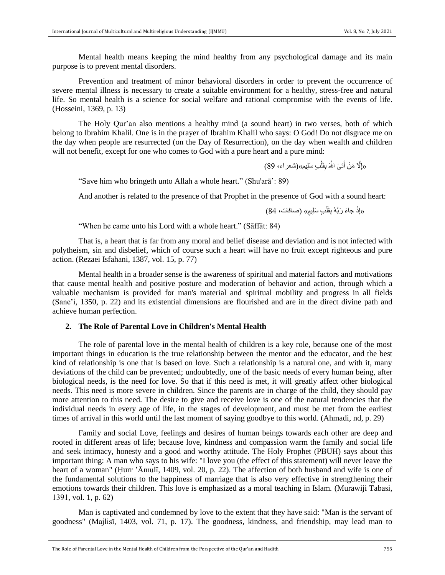Mental health means keeping the mind healthy from any psychological damage and its main purpose is to prevent mental disorders.

Prevention and treatment of minor behavioral disorders in order to prevent the occurrence of severe mental illness is necessary to create a suitable environment for a healthy, stress-free and natural life. So mental health is a science for social welfare and rational compromise with the events of life. (Hosseini, 1369, p. 13)

The Holy Qur'an also mentions a healthy mind (a sound heart) in two verses, both of which belong to Ibrahim Khalil. One is in the prayer of Ibrahim Khalil who says: O God! Do not disgrace me on the day when people are resurrected (on the Day of Resurrection), on the day when wealth and children will not benefit, except for one who comes to God with a pure heart and a pure mind:

> «إِلَّا مَنْ أَتـَىَ اللَّهَ بِقَلْبٍ سَلِيم»(شعراء، 89) َ ِ

"Save him who bringeth unto Allah a whole heart." (Shu'arā': 89)

And another is related to the presence of that Prophet in the presence of God with a sound heart:

«إِذْ جاءَ رَبَّهُ بِقَلْبِ سَلِيمٍ» (صـافات، 84) ْ ِ

"When he came unto his Lord with a whole heart." (Sāffāt: 84)

That is, a heart that is far from any moral and belief disease and deviation and is not infected with polytheism, sin and disbelief, which of course such a heart will have no fruit except righteous and pure action. (Rezaei Isfahani, 1387, vol. 15, p. 77)

Mental health in a broader sense is the awareness of spiritual and material factors and motivations that cause mental health and positive posture and moderation of behavior and action, through which a valuable mechanism is provided for man's material and spiritual mobility and progress in all fields (Sane'i, 1350, p. 22) and its existential dimensions are flourished and are in the direct divine path and achieve human perfection.

## **2. The Role of Parental Love in Children's Mental Health**

The role of parental love in the mental health of children is a key role, because one of the most important things in education is the true relationship between the mentor and the educator, and the best kind of relationship is one that is based on love. Such a relationship is a natural one, and with it, many deviations of the child can be prevented; undoubtedly, one of the basic needs of every human being, after biological needs, is the need for love. So that if this need is met, it will greatly affect other biological needs. This need is more severe in children. Since the parents are in charge of the child, they should pay more attention to this need. The desire to give and receive love is one of the natural tendencies that the individual needs in every age of life, in the stages of development, and must be met from the earliest times of arrival in this world until the last moment of saying goodbye to this world. (Ahmadi, nd, p. 29)

Family and social Love, feelings and desires of human beings towards each other are deep and rooted in different areas of life; because love, kindness and compassion warm the family and social life and seek intimacy, honesty and a good and worthy attitude. The Holy Prophet (PBUH) says about this important thing: A man who says to his wife: "I love you (the effect of this statement) will never leave the heart of a woman" (Ḥurr 'Āmulī, 1409, vol. 20, p. 22). The affection of both husband and wife is one of the fundamental solutions to the happiness of marriage that is also very effective in strengthening their emotions towards their children. This love is emphasized as a moral teaching in Islam. (Murawiji Tabasi, 1391, vol. 1, p. 62)

Man is captivated and condemned by love to the extent that they have said: "Man is the servant of goodness" (Majlisī, 1403, vol. 71, p. 17). The goodness, kindness, and friendship, may lead man to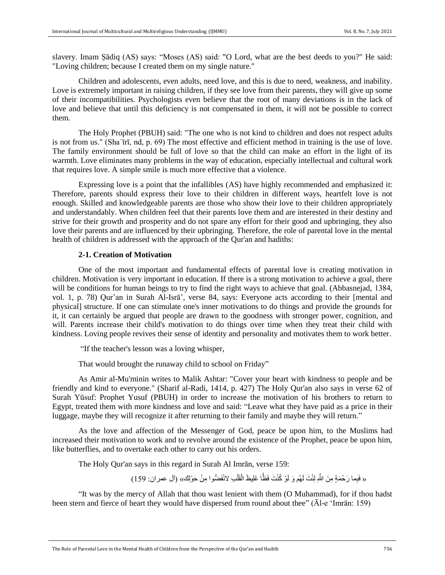slavery. Imam Ṣādiq (AS) says: "Moses (AS) said: "O Lord, what are the best deeds to you?" He said: "Loving children; because I created them on my single nature."

Children and adolescents, even adults, need love, and this is due to need, weakness, and inability. Love is extremely important in raising children, if they see love from their parents, they will give up some of their incompatibilities. Psychologists even believe that the root of many deviations is in the lack of love and believe that until this deficiency is not compensated in them, it will not be possible to correct them.

The Holy Prophet (PBUH) said: "The one who is not kind to children and does not respect adults is not from us." (Shaʿīrī, nd, p. 69) The most effective and efficient method in training is the use of love. The family environment should be full of love so that the child can make an effort in the light of its warmth. Love eliminates many problems in the way of education, especially intellectual and cultural work that requires love. A simple smile is much more effective that a violence.

Expressing love is a point that the infallibles (AS) have highly recommended and emphasized it: Therefore, parents should express their love to their children in different ways, heartfelt love is not enough. Skilled and knowledgeable parents are those who show their love to their children appropriately and understandably. When children feel that their parents love them and are interested in their destiny and strive for their growth and prosperity and do not spare any effort for their good and upbringing, they also love their parents and are influenced by their upbringing. Therefore, the role of parental love in the mental health of children is addressed with the approach of the Qur'an and hadiths:

#### **2-1. Creation of Motivation**

One of the most important and fundamental effects of parental love is creating motivation in children. Motivation is very important in education. If there is a strong motivation to achieve a goal, there will be conditions for human beings to try to find the right ways to achieve that goal. (Abbasnejad, 1384, vol. 1, p. 78) Qur'an in Surah Al-Isrā', verse 84, says: Everyone acts according to their [mental and physical] structure. If one can stimulate one's inner motivations to do things and provide the grounds for it, it can certainly be argued that people are drawn to the goodness with stronger power, cognition, and will. Parents increase their child's motivation to do things over time when they treat their child with kindness. Loving people revives their sense of identity and personality and motivates them to work better.

"If the teacher's lesson was a loving whisper,

That would brought the runaway child to school on Friday"

As Amir al-Mu'minin writes to Malik Ashtar: "Cover your heart with kindness to people and be friendly and kind to everyone." (Sharif al-Radi, 1414, p. 427) The Holy Qur'an also says in verse 62 of Surah Yūsuf: Prophet Yusuf (PBUH) in order to increase the motivation of his brothers to return to Egypt, treated them with more kindness and love and said: "Leave what they have paid as a price in their luggage, maybe they will recognize it after returning to their family and maybe they will return."

As the love and affection of the Messenger of God, peace be upon him, to the Muslims had increased their motivation to work and to revolve around the existence of the Prophet, peace be upon him, like butterflies, and to overtake each other to carry out his orders.

The Holy Qur'an says in this regard in Surah Al Imrān, verse 159:

« فَبِما رَحْمَةٍ مِنَ اللَّهِ لِنْتَ لَهُم وَ لَوْ كُنْتَ فَظًّا غَلِيظَ الْقَلْبِ لانْفَضُّوا مِنْ حَوْلِك» (آل عمران: 159) ْ **ٔ** 

"It was by the mercy of Allah that thou wast lenient with them (O Muhammad), for if thou hadst been stern and fierce of heart they would have dispersed from round about thee" (Āl-e 'Imrān: 159)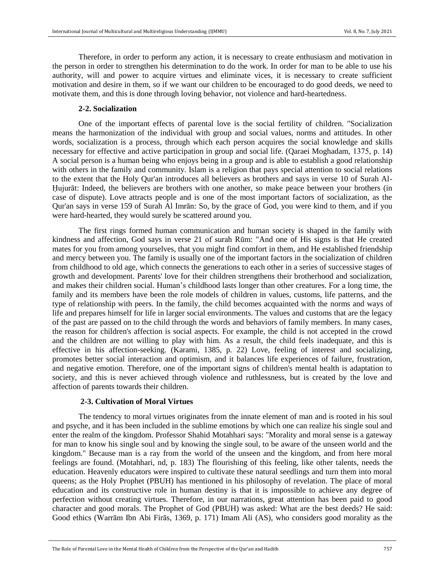Therefore, in order to perform any action, it is necessary to create enthusiasm and motivation in the person in order to strengthen his determination to do the work. In order for man to be able to use his authority, will and power to acquire virtues and eliminate vices, it is necessary to create sufficient motivation and desire in them, so if we want our children to be encouraged to do good deeds, we need to motivate them, and this is done through loving behavior, not violence and hard-heartedness.

#### **2-2. Socialization**

One of the important effects of parental love is the social fertility of children. "Socialization means the harmonization of the individual with group and social values, norms and attitudes. In other words, socialization is a process, through which each person acquires the social knowledge and skills necessary for effective and active participation in group and social life. (Qaraei Moghadam, 1375, p. 14) A social person is a human being who enjoys being in a group and is able to establish a good relationship with others in the family and community. Islam is a religion that pays special attention to social relations to the extent that the Holy Qur'an introduces all believers as brothers and says in verse 10 of Surah Al-Ḥujurāt: Indeed, the believers are brothers with one another, so make peace between your brothers (in case of dispute). Love attracts people and is one of the most important factors of socialization, as the Qur'an says in verse 159 of Surah Al Imrān: So, by the grace of God, you were kind to them, and if you were hard-hearted, they would surely be scattered around you.

The first rings formed human communication and human society is shaped in the family with kindness and affection, God says in verse 21 of surah Rūm: "And one of His signs is that He created mates for you from among yourselves, that you might find comfort in them, and He established friendship and mercy between you. The family is usually one of the important factors in the socialization of children from childhood to old age, which connects the generations to each other in a series of successive stages of growth and development. Parents' love for their children strengthens their brotherhood and socialization, and makes their children social. Human's childhood lasts longer than other creatures. For a long time, the family and its members have been the role models of children in values, customs, life patterns, and the type of relationship with peers. In the family, the child becomes acquainted with the norms and ways of life and prepares himself for life in larger social environments. The values and customs that are the legacy of the past are passed on to the child through the words and behaviors of family members. In many cases, the reason for children's affection is social aspects. For example, the child is not accepted in the crowd and the children are not willing to play with him. As a result, the child feels inadequate, and this is effective in his affection-seeking. (Karami, 1385, p. 22) Love, feeling of interest and socializing, promotes better social interaction and optimism, and it balances life experiences of failure, frustration, and negative emotion. Therefore, one of the important signs of children's mental health is adaptation to society, and this is never achieved through violence and ruthlessness, but is created by the love and affection of parents towards their children.

#### **2-3. Cultivation of Moral Virtues**

The tendency to moral virtues originates from the innate element of man and is rooted in his soul and psyche, and it has been included in the sublime emotions by which one can realize his single soul and enter the realm of the kingdom. Professor Shahid Motahhari says: "Morality and moral sense is a gateway for man to know his single soul and by knowing the single soul, to be aware of the unseen world and the kingdom." Because man is a ray from the world of the unseen and the kingdom, and from here moral feelings are found. (Motahhari, nd, p. 183) The flourishing of this feeling, like other talents, needs the education. Heavenly educators were inspired to cultivate these natural seedlings and turn them into moral queens; as the Holy Prophet (PBUH) has mentioned in his philosophy of revelation. The place of moral education and its constructive role in human destiny is that it is impossible to achieve any degree of perfection without creating virtues. Therefore, in our narrations, great attention has been paid to good character and good morals. The Prophet of God (PBUH) was asked: What are the best deeds? He said: Good ethics (Warrām Ibn Abi Firās, 1369, p. 171) Imam Ali (AS), who considers good morality as the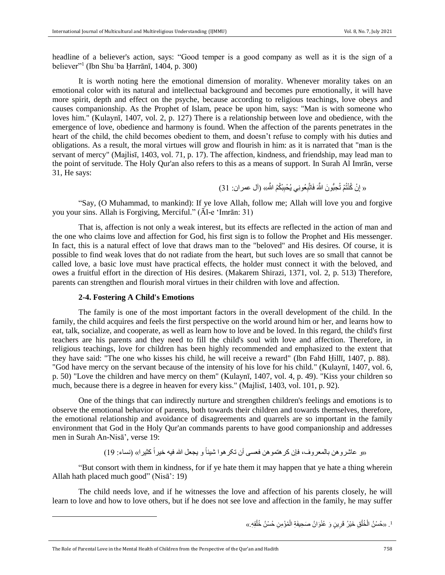headline of a believer's action, says: "Good temper is a good company as well as it is the sign of a believer"<sup>1</sup> (Ibn Shuʿba Ḥarrānī, 1404, p. 300)

It is worth noting here the emotional dimension of morality. Whenever morality takes on an emotional color with its natural and intellectual background and becomes pure emotionally, it will have more spirit, depth and effect on the psyche, because according to religious teachings, love obeys and causes companionship. As the Prophet of Islam, peace be upon him, says: "Man is with someone who loves him." (Kulaynī, 1407, vol. 2, p. 127) There is a relationship between love and obedience, with the emergence of love, obedience and harmony is found. When the affection of the parents penetrates in the heart of the child, the child becomes obedient to them, and doesn't refuse to comply with his duties and obligations. As a result, the moral virtues will grow and flourish in him: as it is narrated that "man is the servant of mercy" (Majlisī, 1403, vol. 71, p. 17). The affection, kindness, and friendship, may lead man to the point of servitude. The Holy Qur'an also refers to this as a means of support. In Surah Al Imrān, verse 31, He says:

> « إِنْ كُنْتُمْ تُحِبُّونَ اللَّهَ فَاتَّبِعُونِي يُحْبِبْكُمُ اللَّه» (آل عمر ان: 31) **∣** ِ ِ

"Say, (O Muhammad, to mankind): If ye love Allah, follow me; Allah will love you and forgive you your sins. Allah is Forgiving, Merciful." (Āl-e 'Imrān: 31)

That is, affection is not only a weak interest, but its effects are reflected in the action of man and the one who claims love and affection for God, his first sign is to follow the Prophet and His messenger. In fact, this is a natural effect of love that draws man to the "beloved" and His desires. Of course, it is possible to find weak loves that do not radiate from the heart, but such loves are so small that cannot be called love, a basic love must have practical effects, the holder must connect it with the beloved, and owes a fruitful effort in the direction of His desires. (Makarem Shirazi, 1371, vol. 2, p. 513) Therefore, parents can strengthen and flourish moral virtues in their children with love and affection.

### **2-4. Fostering A Child's Emotions**

The family is one of the most important factors in the overall development of the child. In the family, the child acquires and feels the first perspective on the world around him or her, and learns how to eat, talk, socialize, and cooperate, as well as learn how to love and be loved. In this regard, the child's first teachers are his parents and they need to fill the child's soul with love and affection. Therefore, in religious teachings, love for children has been highly recommended and emphasized to the extent that they have said: "The one who kisses his child, he will receive a reward" (Ibn Fahd Ḥillī, 1407, p. 88). "God have mercy on the servant because of the intensity of his love for his child." (Kulaynī, 1407, vol. 6, p. 50) "Love the children and have mercy on them" (Kulaynī, 1407, vol. 4, p. 49). "Kiss your children so much, because there is a degree in heaven for every kiss." (Majlisī, 1403, vol. 101, p. 92).

One of the things that can indirectly nurture and strengthen children's feelings and emotions is to observe the emotional behavior of parents, both towards their children and towards themselves, therefore, the emotional relationship and avoidance of disagreements and quarrels are so important in the family environment that God in the Holy Qur'an commands parents to have good companionship and addresses men in Surah An-Nisā', verse 19:

ًّ کثيرا« )نساء: 19( ًّ و يجعل َّللا فيه خيرا »و عاشروهن بالمعروف، فإن کرهتموهن فعسی أن تکرهوا شيئا

"But consort with them in kindness, for if ye hate them it may happen that ye hate a thing wherein Allah hath placed much good" (Nisā': 19)

The child needs love, and if he witnesses the love and affection of his parents closely, he will learn to love and how to love others, but if he does not see love and affection in the family, he may suffer

> <sup>1</sup>. «حُسْنُ الْخُلُقِ خَيْرُ قَرِينٍ وَ عُنْوَانُ صَحِيفَةِ الْمُؤْمِنِ حُسْنُ خُلُقِهِ.» ُ ْ ُ

 $\overline{\phantom{a}}$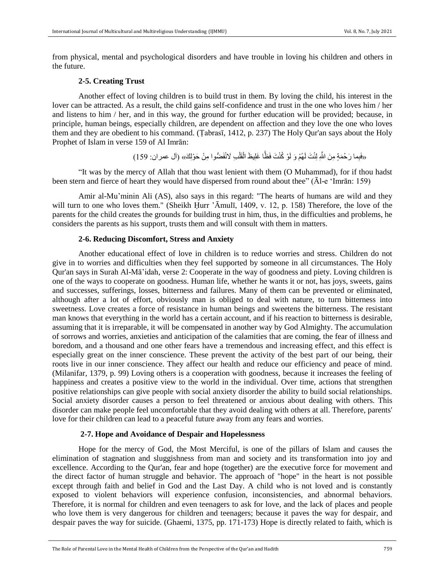from physical, mental and psychological disorders and have trouble in loving his children and others in the future.

#### **2-5. Creating Trust**

Another effect of loving children is to build trust in them. By loving the child, his interest in the lover can be attracted. As a result, the child gains self-confidence and trust in the one who loves him / her and listens to him / her, and in this way, the ground for further education will be provided; because, in principle, human beings, especially children, are dependent on affection and they love the one who loves them and they are obedient to his command. (Ṭabrasī, 1412, p. 237) The Holy Qur'an says about the Holy Prophet of Islam in verse 159 of Al Imrān:

> «فَبِما رَحْمَةٍ مِنَ اللَّهِ لِنْتَ لَهُمْ وَ لَوْ كُنْتَ فَظًّا غَلِيظَ الْقَلْبِ لَانْفَضُّوا مِنْ حَوْلِكَ» (آل عمران: 159) ْ ْ

"It was by the mercy of Allah that thou wast lenient with them (O Muhammad), for if thou hadst been stern and fierce of heart they would have dispersed from round about thee" (Āl-e 'Imrān: 159)

Amir al-Mu'minin Ali (AS), also says in this regard: "The hearts of humans are wild and they will turn to one who loves them." (Sheikh Ḥurr 'Āmulī, 1409, v. 12, p. 158) Therefore, the love of the parents for the child creates the grounds for building trust in him, thus, in the difficulties and problems, he considers the parents as his support, trusts them and will consult with them in matters.

## **2-6. Reducing Discomfort, Stress and Anxiety**

Another educational effect of love in children is to reduce worries and stress. Children do not give in to worries and difficulties when they feel supported by someone in all circumstances. The Holy Qur'an says in Surah Al-Mā'idah, verse 2: Cooperate in the way of goodness and piety. Loving children is one of the ways to cooperate on goodness. Human life, whether he wants it or not, has joys, sweets, gains and successes, sufferings, losses, bitterness and failures. Many of them can be prevented or eliminated, although after a lot of effort, obviously man is obliged to deal with nature, to turn bitterness into sweetness. Love creates a force of resistance in human beings and sweetens the bitterness. The resistant man knows that everything in the world has a certain account, and if his reaction to bitterness is desirable, assuming that it is irreparable, it will be compensated in another way by God Almighty. The accumulation of sorrows and worries, anxieties and anticipation of the calamities that are coming, the fear of illness and boredom, and a thousand and one other fears have a tremendous and increasing effect, and this effect is especially great on the inner conscience. These prevent the activity of the best part of our being, their roots live in our inner conscience. They affect our health and reduce our efficiency and peace of mind. (Milanifar, 1379, p. 99) Loving others is a cooperation with goodness, because it increases the feeling of happiness and creates a positive view to the world in the individual. Over time, actions that strengthen positive relationships can give people with social anxiety disorder the ability to build social relationships. Social anxiety disorder causes a person to feel threatened or anxious about dealing with others. This disorder can make people feel uncomfortable that they avoid dealing with others at all. Therefore, parents' love for their children can lead to a peaceful future away from any fears and worries.

#### **2-7. Hope and Avoidance of Despair and Hopelessness**

Hope for the mercy of God, the Most Merciful, is one of the pillars of Islam and causes the elimination of stagnation and sluggishness from man and society and its transformation into joy and excellence. According to the Qur'an, fear and hope (together) are the executive force for movement and the direct factor of human struggle and behavior. The approach of "hope" in the heart is not possible except through faith and belief in God and the Last Day. A child who is not loved and is constantly exposed to violent behaviors will experience confusion, inconsistencies, and abnormal behaviors. Therefore, it is normal for children and even teenagers to ask for love, and the lack of places and people who love them is very dangerous for children and teenagers; because it paves the way for despair, and despair paves the way for suicide. (Ghaemi, 1375, pp. 171-173) Hope is directly related to faith, which is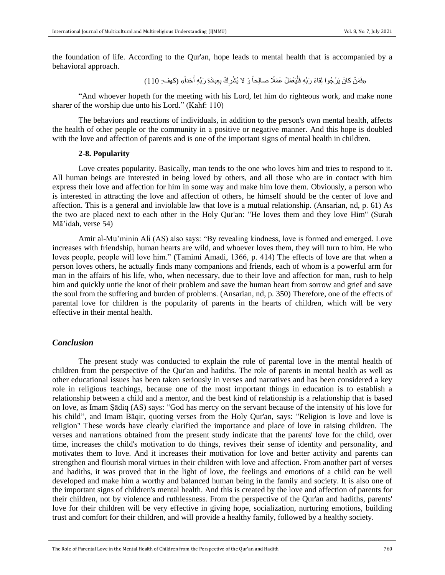the foundation of life. According to the Qur'an, hope leads to mental health that is accompanied by a behavioral approach.

ًّ« )کهف: 110( َحدا َ ِ ِعبا َدِة َربِّ ِه أ ْش ِر ْك ب َو َّل يُ ًّ ليَ ْعَم ْل َع َمًًّل صالِحا َء َربِّ ِه فَْ َم ْن كا َن يَ ْر ُجوا لِقا »فَ

"And whoever hopeth for the meeting with his Lord, let him do righteous work, and make none sharer of the worship due unto his Lord." (Kahf: 110)

The behaviors and reactions of individuals, in addition to the person's own mental health, affects the health of other people or the community in a positive or negative manner. And this hope is doubled with the love and affection of parents and is one of the important signs of mental health in children.

#### **2-8. Popularity**

Love creates popularity. Basically, man tends to the one who loves him and tries to respond to it. All human beings are interested in being loved by others, and all those who are in contact with him express their love and affection for him in some way and make him love them. Obviously, a person who is interested in attracting the love and affection of others, he himself should be the center of love and affection. This is a general and inviolable law that love is a mutual relationship. (Ansarian, nd, p. 61) As the two are placed next to each other in the Holy Qur'an: "He loves them and they love Him" (Surah Mā'idah, verse 54)

Amir al-Mu'minin Ali (AS) also says: "By revealing kindness, love is formed and emerged. Love increases with friendship, human hearts are wild, and whoever loves them, they will turn to him. He who loves people, people will love him." (Tamimi Amadi, 1366, p. 414) The effects of love are that when a person loves others, he actually finds many companions and friends, each of whom is a powerful arm for man in the affairs of his life, who, when necessary, due to their love and affection for man, rush to help him and quickly untie the knot of their problem and save the human heart from sorrow and grief and save the soul from the suffering and burden of problems. (Ansarian, nd, p. 350) Therefore, one of the effects of parental love for children is the popularity of parents in the hearts of children, which will be very effective in their mental health.

## *Conclusion*

The present study was conducted to explain the role of parental love in the mental health of children from the perspective of the Qur'an and hadiths. The role of parents in mental health as well as other educational issues has been taken seriously in verses and narratives and has been considered a key role in religious teachings, because one of the most important things in education is to establish a relationship between a child and a mentor, and the best kind of relationship is a relationship that is based on love, as Imam Ṣādiq (AS) says: "God has mercy on the servant because of the intensity of his love for his child", and Imam Bāqir, quoting verses from the Holy Qur'an, says: "Religion is love and love is religion" These words have clearly clarified the importance and place of love in raising children. The verses and narrations obtained from the present study indicate that the parents' love for the child, over time, increases the child's motivation to do things, revives their sense of identity and personality, and motivates them to love. And it increases their motivation for love and better activity and parents can strengthen and flourish moral virtues in their children with love and affection. From another part of verses and hadiths, it was proved that in the light of love, the feelings and emotions of a child can be well developed and make him a worthy and balanced human being in the family and society. It is also one of the important signs of children's mental health. And this is created by the love and affection of parents for their children, not by violence and ruthlessness. From the perspective of the Qur'an and hadiths, parents' love for their children will be very effective in giving hope, socialization, nurturing emotions, building trust and comfort for their children, and will provide a healthy family, followed by a healthy society.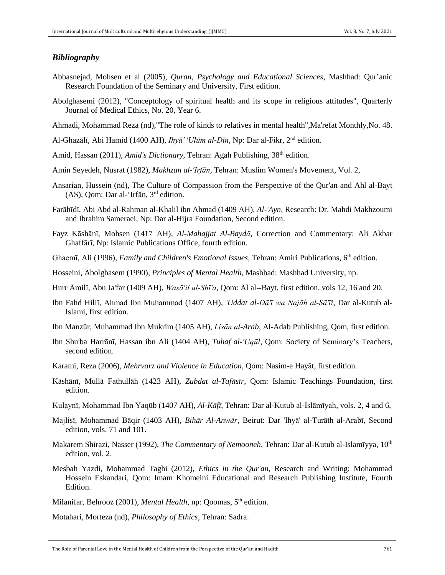## *Bibliography*

- Abbasnejad, Mohsen et al (2005), *Quran, Psychology and Educational Sciences*, Mashhad: Qur'anic Research Foundation of the Seminary and University, First edition.
- Abolghasemi (2012), "Conceptology of spiritual health and its scope in religious attitudes", Quarterly Journal of Medical Ethics, No. 20, Year 6.
- Ahmadi, Mohammad Reza (nd),"The role of kinds to relatives in mental health",Ma'refat Monthly,No. 48.
- Al-Ghazālī, Abi Hamid (1400 AH), *Ihyā' 'Ulūm al-Dīn*, Np: Dar al-Fikr, 2<sup>nd</sup> edition.
- Amid, Hassan (2011), *Amid's Dictionary*, Tehran: Agah Publishing, 38<sup>th</sup> edition.
- Amin Seyedeh, Nusrat (1982), *Makhzan al-'Irfān*, Tehran: Muslim Women's Movement, Vol. 2,
- Ansarian, Hussein (nd), The Culture of Compassion from the Perspective of the Qur'an and Ahl al-Bayt (AS), Qom: Dar al-'Irfān, 3rd edition.
- Farāhīdī, Abi Abd al-Rahman al-Khalil ibn Ahmad (1409 AH), *Al-'Ayn*, Research: Dr. Mahdi Makhzoumi and Ibrahim Sameraei, Np: Dar al-Hijra Foundation, Second edition.
- Fayz Kāshānī, Mohsen (1417 AH), *Al-Mahajjat Al-Baydā*, Correction and Commentary: Ali Akbar Ghaffārī, Np: Islamic Publications Office, fourth edition.
- Ghaemī, Ali (1996), Family and Children's Emotional Issues, Tehran: Amiri Publications, 6<sup>th</sup> edition.
- Hosseini, Abolghasem (1990), *Principles of Mental Health,* Mashhad: Mashhad University, np.
- Hurr Āmilī, Abu Ja'far (1409 AH), *Wasā'il al-Shī'a*, Qom: Āl al--Bayt, first edition, vols 12, 16 and 20.
- Ibn Fahd Hillī, Ahmad Ibn Muhammad (1407 AH), *'Uddat al-Dā'ī wa Najāh al-Sā'īi*, Dar al-Kutub al-Islami, first edition.
- Ibn Manzūr, Muhammad Ibn Mukrim (1405 AH), *Lisān al-Arab*, Al-Adab Publishing, Qom, first edition.
- Ibn Shu'ba Harrānī, Hassan ibn Ali (1404 AH), *Tuhaf al-'Uqūl*, Qom: Society of Seminary's Teachers, second edition.
- Karami, Reza (2006), *Mehrvarz and Violence in Education*, Qom: Nasim-e Hayāt, first edition.
- Kāshānī, Mullā Fathullāh (1423 AH), *Zubdat al-Tafāsīr*, Qom: Islamic Teachings Foundation, first edition.
- Kulaynī, Mohammad Ibn Yaqūb (1407 AH), *Al-Kāfī*, Tehran: Dar al-Kutub al-Islāmīyah, vols. 2, 4 and 6,
- Majlisī, Mohammad Bāqir (1403 AH), *Bihār Al-Anwār*, Beirut: Dar 'Ihyā' al-Turāth al-Arabī, Second edition, vols. 71 and 101.
- Makarem Shirazi, Nasser (1992), *The Commentary of Nemooneh*, Tehran: Dar al-Kutub al-Islamīyya, 10th edition, vol. 2.
- Mesbah Yazdi, Mohammad Taghi (2012), *Ethics in the Qur'an*, Research and Writing: Mohammad Hossein Eskandari, Qom: Imam Khomeini Educational and Research Publishing Institute, Fourth Edition.

Milanifar, Behrooz (2001), *Mental Health*, np: Qoomas, 5<sup>th</sup> edition.

Motahari, Morteza (nd), *Philosophy of Ethics*, Tehran: Sadra.